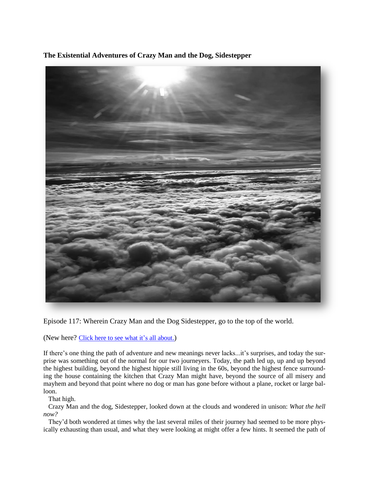**The Existential Adventures of Crazy Man and the Dog, Sidestepper**

Episode 117: Wherein Crazy Man and the Dog Sidestepper, go to the top of the world.

(New here? Click here to see what it's all [about.](https://biffmitchell.com/crazy-man))

If there's one thing the path of adventure and new meanings never lacks...it's surprises, and today the surprise was something out of the normal for our two journeyers. Today, the path led up, up and up beyond the highest building, beyond the highest hippie still living in the 60s, beyond the highest fence surrounding the house containing the kitchen that Crazy Man might have, beyond the source of all misery and mayhem and beyond that point where no dog or man has gone before without a plane, rocket or large balloon.

That high.

 Crazy Man and the dog, Sidestepper, looked down at the clouds and wondered in unison: *What the hell now?*

 They'd both wondered at times why the last several miles of their journey had seemed to be more physically exhausting than usual, and what they were looking at might offer a few hints. It seemed the path of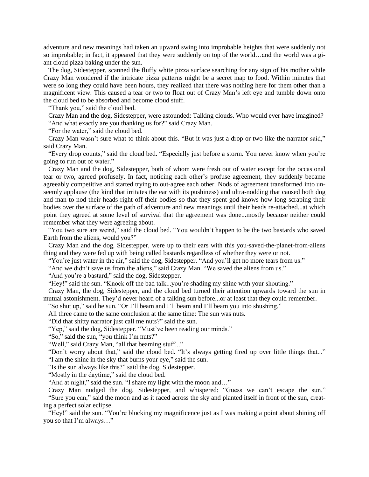adventure and new meanings had taken an upward swing into improbable heights that were suddenly not so improbable; in fact, it appeared that they were suddenly on top of the world…and the world was a giant cloud pizza baking under the sun.

 The dog, Sidestepper, scanned the fluffy white pizza surface searching for any sign of his mother while Crazy Man wondered if the intricate pizza patterns might be a secret map to food. Within minutes that were so long they could have been hours, they realized that there was nothing here for them other than a magnificent view. This caused a tear or two to float out of Crazy Man's left eye and tumble down onto the cloud bed to be absorbed and become cloud stuff.

"Thank you," said the cloud bed.

 Crazy Man and the dog, Sidestepper, were astounded: Talking clouds. Who would ever have imagined? "And what exactly are you thanking us for?" said Crazy Man.

"For the water," said the cloud bed.

 Crazy Man wasn't sure what to think about this. "But it was just a drop or two like the narrator said," said Crazy Man.

 "Every drop counts," said the cloud bed. "Especially just before a storm. You never know when you're going to run out of water."

 Crazy Man and the dog, Sidestepper, both of whom were fresh out of water except for the occasional tear or two, agreed profusely. In fact, noticing each other's profuse agreement, they suddenly became agreeably competitive and started trying to out-agree each other. Nods of agreement transformed into unseemly applause (the kind that irritates the ear with its pushiness) and ultra-nodding that caused both dog and man to nod their heads right off their bodies so that they spent god knows how long scraping their bodies over the surface of the path of adventure and new meanings until their heads re-attached...at which point they agreed at some level of survival that the agreement was done...mostly because neither could remember what they were agreeing about.

 "You two sure are weird," said the cloud bed. "You wouldn't happen to be the two bastards who saved Earth from the aliens, would you?"

 Crazy Man and the dog, Sidestepper, were up to their ears with this you-saved-the-planet-from-aliens thing and they were fed up with being called bastards regardless of whether they were or not.

"You're just water in the air," said the dog, Sidestepper. "And you'll get no more tears from us."

"And we didn't save us from the aliens," said Crazy Man. "We saved the aliens from us."

"And you're a bastard," said the dog, Sidestepper.

"Hey!" said the sun. "Knock off the bad talk...you're shading my shine with your shouting."

 Crazy Man, the dog, Sidestepper, and the cloud bed turned their attention upwards toward the sun in mutual astonishment. They'd never heard of a talking sun before...or at least that they could remember.

"So shut up," said he sun. "Or I'll beam and I'll beam and I'll beam you into shushing."

All three came to the same conclusion at the same time: The sun was nuts.

"Did that shitty narrator just call me nuts?" said the sun.

"Yep," said the dog, Sidestepper. "Must've been reading our minds."

"So," said the sun, "you think I'm nuts?"

"Well," said Crazy Man, "all that beaming stuff..."

 "Don't worry about that," said the cloud bed. "It's always getting fired up over little things that..." "I am the shine in the sky that burns your eye," said the sun.

"Is the sun always like this?" said the dog, Sidestepper.

"Mostly in the daytime," said the cloud bed.

"And at night," said the sun. "I share my light with the moon and…"

 Crazy Man nudged the dog, Sidestepper, and whispered: "Guess we can't escape the sun." "Sure you can," said the moon and as it raced across the sky and planted itself in front of the sun, creating a perfect solar eclipse.

"Hey!" said the sun. "You're blocking my magnificence just as I was making a point about shining off you so that I'm always…"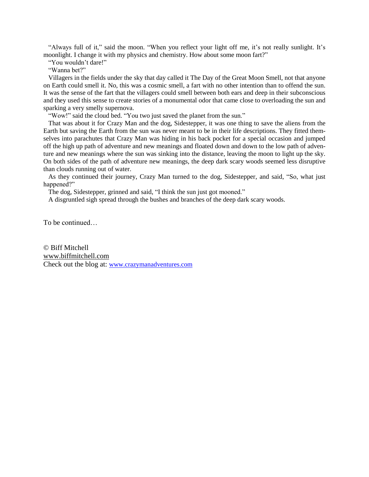"Always full of it," said the moon. "When you reflect your light off me, it's not really sunlight. It's moonlight. I change it with my physics and chemistry. How about some moon fart?"

"You wouldn't dare!"

"Wanna bet?"

 Villagers in the fields under the sky that day called it The Day of the Great Moon Smell, not that anyone on Earth could smell it. No, this was a cosmic smell, a fart with no other intention than to offend the sun. It was the sense of the fart that the villagers could smell between both ears and deep in their subconscious and they used this sense to create stories of a monumental odor that came close to overloading the sun and sparking a very smelly supernova.

"Wow!" said the cloud bed. "You two just saved the planet from the sun."

 That was about it for Crazy Man and the dog, Sidestepper, it was one thing to save the aliens from the Earth but saving the Earth from the sun was never meant to be in their life descriptions. They fitted themselves into parachutes that Crazy Man was hiding in his back pocket for a special occasion and jumped off the high up path of adventure and new meanings and floated down and down to the low path of adventure and new meanings where the sun was sinking into the distance, leaving the moon to light up the sky. On both sides of the path of adventure new meanings, the deep dark scary woods seemed less disruptive than clouds running out of water.

 As they continued their journey, Crazy Man turned to the dog, Sidestepper, and said, "So, what just happened?"

The dog, Sidestepper, grinned and said, "I think the sun just got mooned."

A disgruntled sigh spread through the bushes and branches of the deep dark scary woods.

To be continued…

© Biff Mitchell www.biffmitchell.com Check out the blog at: www.crazymanadventures.com